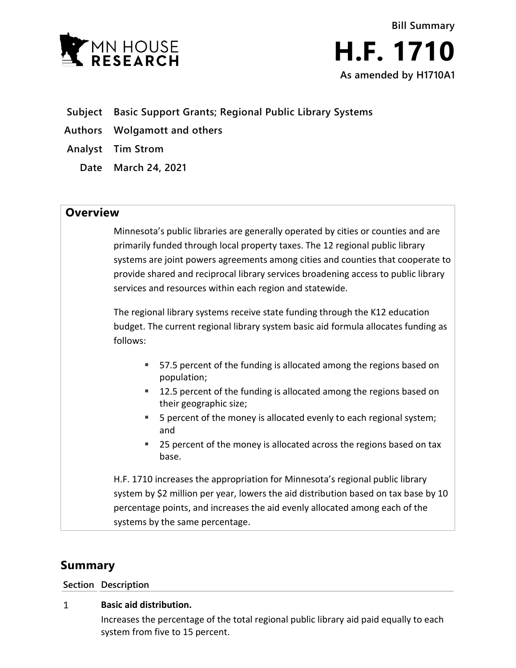



- **Subject Basic Support Grants; Regional Public Library Systems**
- **Authors Wolgamott and others**
- **Analyst Tim Strom**
	- **Date March 24, 2021**

## **Overview**

Minnesota's public libraries are generally operated by cities or counties and are primarily funded through local property taxes. The 12 regional public library systems are joint powers agreements among cities and counties that cooperate to provide shared and reciprocal library services broadening access to public library services and resources within each region and statewide.

The regional library systems receive state funding through the K12 education budget. The current regional library system basic aid formula allocates funding as follows:

- 57.5 percent of the funding is allocated among the regions based on population;
- **12.5 percent of the funding is allocated among the regions based on** their geographic size;
- 5 percent of the money is allocated evenly to each regional system; and
- 25 percent of the money is allocated across the regions based on tax base.

H.F. 1710 increases the appropriation for Minnesota's regional public library system by \$2 million per year, lowers the aid distribution based on tax base by 10 percentage points, and increases the aid evenly allocated among each of the systems by the same percentage.

# **Summary**

**Section Description**

### $\mathbf{1}$ **Basic aid distribution.**

Increases the percentage of the total regional public library aid paid equally to each system from five to 15 percent.